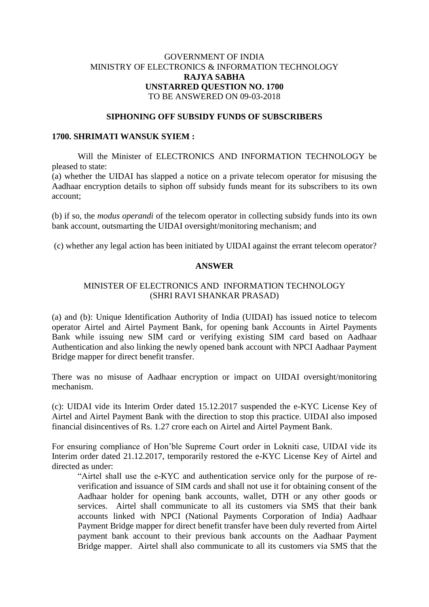# GOVERNMENT OF INDIA MINISTRY OF ELECTRONICS & INFORMATION TECHNOLOGY **RAJYA SABHA UNSTARRED QUESTION NO. 1700** TO BE ANSWERED ON 09-03-2018

## **SIPHONING OFF SUBSIDY FUNDS OF SUBSCRIBERS**

#### **1700. SHRIMATI WANSUK SYIEM :**

Will the Minister of ELECTRONICS AND INFORMATION TECHNOLOGY be pleased to state:

(a) whether the UIDAI has slapped a notice on a private telecom operator for misusing the Aadhaar encryption details to siphon off subsidy funds meant for its subscribers to its own account;

(b) if so, the *modus operandi* of the telecom operator in collecting subsidy funds into its own bank account, outsmarting the UIDAI oversight/monitoring mechanism; and

(c) whether any legal action has been initiated by UIDAI against the errant telecom operator?

## **ANSWER**

# MINISTER OF ELECTRONICS AND INFORMATION TECHNOLOGY (SHRI RAVI SHANKAR PRASAD)

(a) and (b): Unique Identification Authority of India (UIDAI) has issued notice to telecom operator Airtel and Airtel Payment Bank, for opening bank Accounts in Airtel Payments Bank while issuing new SIM card or verifying existing SIM card based on Aadhaar Authentication and also linking the newly opened bank account with NPCI Aadhaar Payment Bridge mapper for direct benefit transfer.

There was no misuse of Aadhaar encryption or impact on UIDAI oversight/monitoring mechanism.

(c): UIDAI vide its Interim Order dated 15.12.2017 suspended the e-KYC License Key of Airtel and Airtel Payment Bank with the direction to stop this practice. UIDAI also imposed financial disincentives of Rs. 1.27 crore each on Airtel and Airtel Payment Bank.

For ensuring compliance of Hon'ble Supreme Court order in Lokniti case, UIDAI vide its Interim order dated 21.12.2017, temporarily restored the e-KYC License Key of Airtel and directed as under:

"Airtel shall use the e-KYC and authentication service only for the purpose of reverification and issuance of SIM cards and shall not use it for obtaining consent of the Aadhaar holder for opening bank accounts, wallet, DTH or any other goods or services. Airtel shall communicate to all its customers via SMS that their bank accounts linked with NPCI (National Payments Corporation of India) Aadhaar Payment Bridge mapper for direct benefit transfer have been duly reverted from Airtel payment bank account to their previous bank accounts on the Aadhaar Payment Bridge mapper. Airtel shall also communicate to all its customers via SMS that the